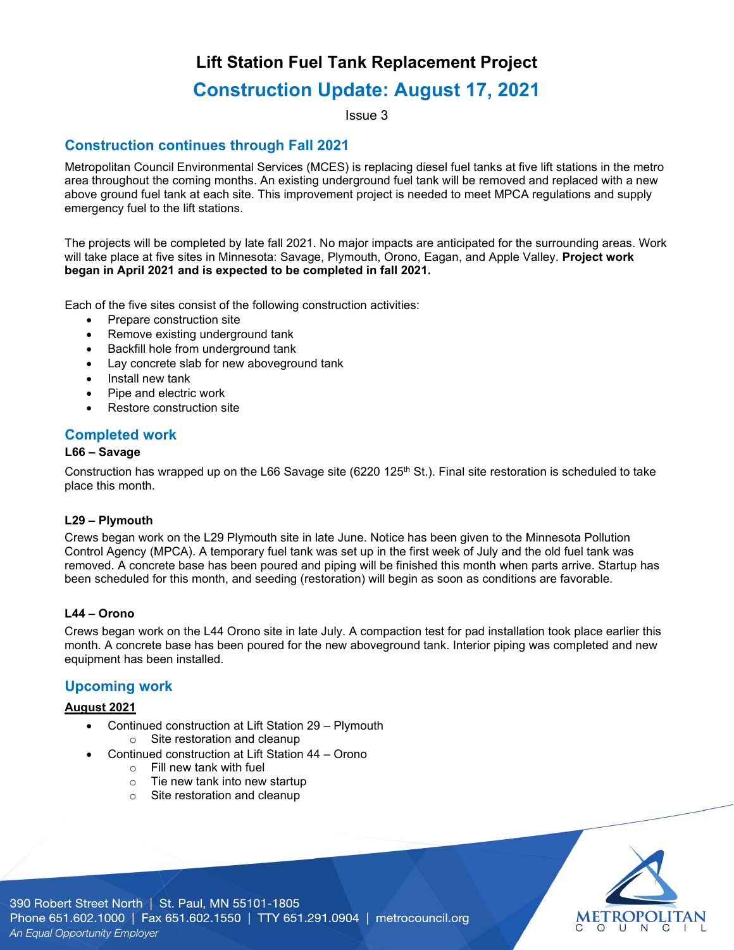## **Lift Station Fuel Tank Replacement Project**

# **Construction Update: August 17, 2021**

Issue 3

## **Construction continues through Fall 2021**

Metropolitan Council Environmental Services (MCES) is replacing diesel fuel tanks at five lift stations in the metro area throughout the coming months. An existing underground fuel tank will be removed and replaced with a new above ground fuel tank at each site. This improvement project is needed to meet MPCA regulations and supply emergency fuel to the lift stations.

The projects will be completed by late fall 2021. No major impacts are anticipated for the surrounding areas. Work will take place at five sites in Minnesota: Savage, Plymouth, Orono, Eagan, and Apple Valley. **Project work began in April 2021 and is expected to be completed in fall 2021.** 

Each of the five sites consist of the following construction activities:

- Prepare construction site
- Remove existing underground tank
- Backfill hole from underground tank
- Lay concrete slab for new aboveground tank
- Install new tank
- Pipe and electric work
- Restore construction site

#### **Completed work**

#### **L66 – Savage**

Construction has wrapped up on the L66 Savage site (6220 125<sup>th</sup> St.). Final site restoration is scheduled to take place this month.

#### **L29 – Plymouth**

Crews began work on the L29 Plymouth site in late June. Notice has been given to the Minnesota Pollution Control Agency (MPCA). A temporary fuel tank was set up in the first week of July and the old fuel tank was removed. A concrete base has been poured and piping will be finished this month when parts arrive. Startup has been scheduled for this month, and seeding (restoration) will begin as soon as conditions are favorable.

#### **L44 – Orono**

Crews began work on the L44 Orono site in late July. A compaction test for pad installation took place earlier this month. A concrete base has been poured for the new aboveground tank. Interior piping was completed and new equipment has been installed.

#### **Upcoming work**

#### **August 2021**

- Continued construction at Lift Station 29 Plymouth
	- o Site restoration and cleanup
- Continued construction at Lift Station 44 Orono
	- o Fill new tank with fuel
	- o Tie new tank into new startup
	- o Site restoration and cleanup



390 Robert Street North | St. Paul, MN 55101-1805 Phone 651.602.1000 | Fax 651.602.1550 | TTY 651.291.0904 | metrocouncil.org An Equal Opportunity Employer